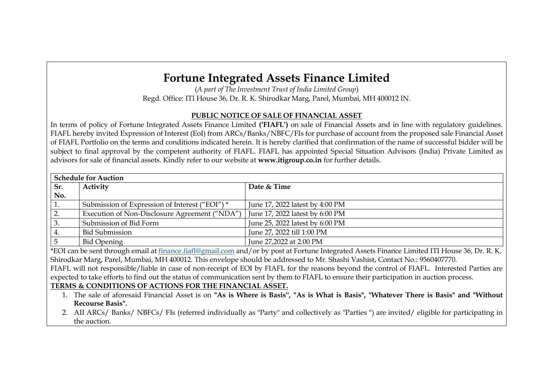## **Fortune Integrated Assets Finance Limited**

(*A part of The Investment Trust of India Limited Group*) Regd. Office: ITI House 36, Dr. R. K. Shirodkar Marg, Parel, Mumbai, MH 400012 IN.

## **PUBLIC NOTICE OF SALE OF FINANCIAL ASSET**

In terms of policy of Fortune Integrated Assets Finance Limited **('FIAFL')** on sale of Financial Assets and in line with regulatory guidelines. FIAFL hereby invited Expression of Interest (EoI) from ARCs/Banks/NBFC/FIs for purchase of account from the proposed sale Financial Asset of FIAFL Portfolio on the terms and conditions indicated herein. It is hereby clarified that confirmation of the name of successful bidder will be subject to final approval by the competent authority of FIAFL. FIAFL has appointed Special Situation Advisors (India) Private Limited as advisors for sale of financial assets. Kindly refer to our website at **[www.itigroup.co.in](http://www.itigroup.co.in/)** for further details.

| <b>Schedule for Auction</b> |                                                |                                 |
|-----------------------------|------------------------------------------------|---------------------------------|
| Sr.                         | Activity                                       | Date & Time                     |
| No.                         |                                                |                                 |
|                             | Submission of Expression of Interest ("EOI") * | June 17, 2022 latest by 4:00 PM |
|                             | Execution of Non-Disclosure Agreement ("NDA")  | June 17, 2022 latest by 6:00 PM |
|                             | Submission of Bid Form                         | June 25, 2022 latest by 6:00 PM |
|                             | <b>Bid Submission</b>                          | June 27, 2022 till 1:00 PM      |
|                             | <b>Bid Opening</b>                             | June 27,2022 at 2.00 PM         |

\*EOI can be sent through email at [finance.fiafl@gmail.com](mailto:finance.fiafl@gmail.com) and/or by post at Fortune Integrated Assets Finance Limited ITI House 36, Dr. R. K. Shirodkar Marg, Parel, Mumbai, MH 400012. This envelope should be addressed to Mr. Shashi Vashist, Contact No.: 9560407770. FIAFL will not responsible/liable in case of non-receipt of EOI by FIAFL for the reasons beyond the control of FIAFL. Interested Parties are expected to take efforts to find out the status of communication sent by them to FIAFL to ensure their participation in auction process.

## **TERMS & CONDITIONS OF ACTIONS FOR THE FINANCIAL ASSET.**

- 1. The sale of aforesaid Financial Asset is on **"As is Where is Basis'', "As is What is Basis", "Whatever There is Basis" and "Without Recourse Basis".**
- 2. AII ARCs/ Banks/ NBFCs/ FIs (referred individually as "Party" and collectively as "Parties ") are invited/ eligible for participating in the auction.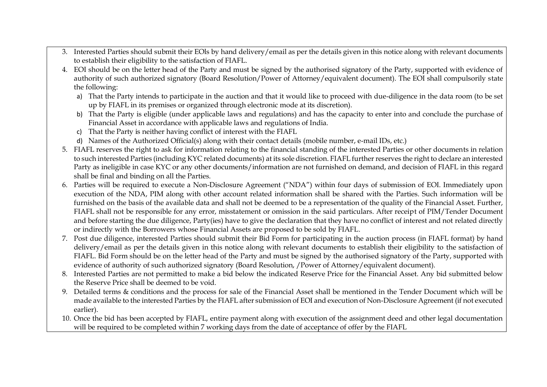- 3. Interested Parties should submit their EOls by hand delivery/email as per the details given in this notice along with relevant documents to establish their eligibility to the satisfaction of FIAFL.
- 4. EOI should be on the letter head of the Party and must be signed by the authorised signatory of the Party, supported with evidence of authority of such authorized signatory (Board Resolution/Power of Attorney/equivalent document). The EOI shall compulsorily state the following:
	- a) That the Party intends to participate in the auction and that it would like to proceed with due-diligence in the data room (to be set up by FIAFL in its premises or organized through electronic mode at its discretion).
	- b) That the Party is eligible (under applicable laws and regulations) and has the capacity to enter into and conclude the purchase of Financial Asset in accordance with applicable laws and regulations of India.
	- c) That the Party is neither having conflict of interest with the FIAFL
	- d) Names of the Authorized Official(s) along with their contact details (mobile number, e-mail IDs, etc.)
- 5. FIAFL reserves the right to ask for information relating to the financial standing of the interested Parties or other documents in relation to such interested Parties (including KYC related documents) at its sole discretion. FIAFL further reserves the right to declare an interested Party as ineligible in case KYC or any other documents/information are not furnished on demand, and decision of FIAFL in this regard shall be final and binding on all the Parties.
- 6. Parties will be required to execute a Non-Disclosure Agreement ("NDA") within four days of submission of EOI. Immediately upon execution of the NDA, PIM along with other account related information shall be shared with the Parties. Such information will be furnished on the basis of the available data and shall not be deemed to be a representation of the quality of the Financial Asset. Further, FIAFL shall not be responsible for any error, misstatement or omission in the said particulars. After receipt of PIM/Tender Document and before starting the due diligence, Party(ies) have to give the declaration that they have no conflict of interest and not related directly or indirectly with the Borrowers whose Financial Assets are proposed to be sold by FIAFL.
- 7. Post due diligence, interested Parties should submit their Bid Form for participating in the auction process (in FIAFL format) by hand delivery/email as per the details given in this notice along with relevant documents to establish their eligibility to the satisfaction of FIAFL. Bid Form should be on the letter head of the Party and must be signed by the authorised signatory of the Party, supported with evidence of authority of such authorized signatory (Board Resolution, /Power of Attorney/equivalent document).
- 8. Interested Parties are not permitted to make a bid below the indicated Reserve Price for the Financial Asset. Any bid submitted below the Reserve Price shall be deemed to be void.
- 9. Detailed terms & conditions and the process for sale of the Financial Asset shall be mentioned in the Tender Document which will be made available to the interested Parties by the FIAFL after submission of EOI and execution of Non-Disclosure Agreement (if not executed earlier).
- 10. Once the bid has been accepted by FIAFL, entire payment along with execution of the assignment deed and other legal documentation will be required to be completed within 7 working days from the date of acceptance of offer by the FIAFL